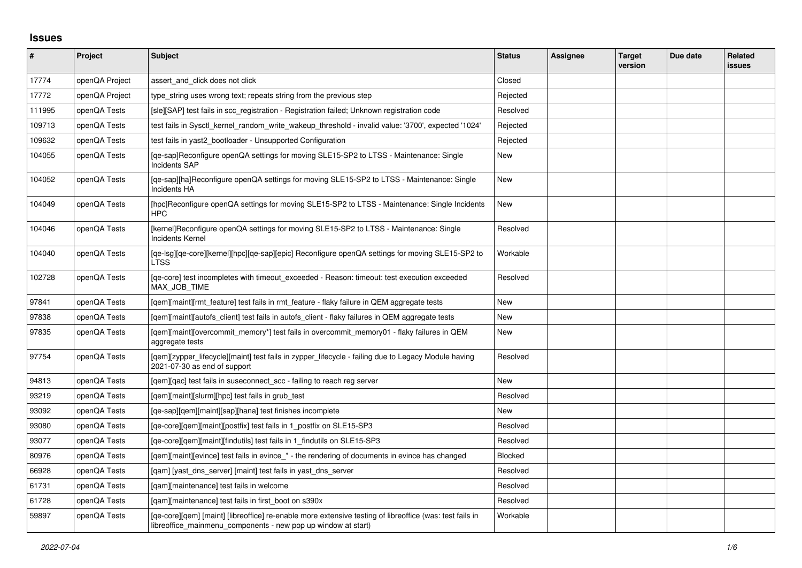## **Issues**

| #      | Project        | <b>Subject</b>                                                                                                                                                            | <b>Status</b> | Assignee | <b>Target</b><br>version | Due date | Related<br>issues |
|--------|----------------|---------------------------------------------------------------------------------------------------------------------------------------------------------------------------|---------------|----------|--------------------------|----------|-------------------|
| 17774  | openQA Project | assert and click does not click                                                                                                                                           | Closed        |          |                          |          |                   |
| 17772  | openQA Project | type string uses wrong text; repeats string from the previous step                                                                                                        | Rejected      |          |                          |          |                   |
| 111995 | openQA Tests   | [sle][SAP] test fails in scc registration - Registration failed; Unknown registration code                                                                                | Resolved      |          |                          |          |                   |
| 109713 | openQA Tests   | test fails in Sysctl kernel random write wakeup threshold - invalid value: '3700', expected '1024'                                                                        | Rejected      |          |                          |          |                   |
| 109632 | openQA Tests   | test fails in yast2 bootloader - Unsupported Configuration                                                                                                                | Rejected      |          |                          |          |                   |
| 104055 | openQA Tests   | [qe-sap]Reconfigure openQA settings for moving SLE15-SP2 to LTSS - Maintenance: Single<br><b>Incidents SAP</b>                                                            | <b>New</b>    |          |                          |          |                   |
| 104052 | openQA Tests   | [qe-sap][ha]Reconfigure openQA settings for moving SLE15-SP2 to LTSS - Maintenance: Single<br><b>Incidents HA</b>                                                         | New           |          |                          |          |                   |
| 104049 | openQA Tests   | [hpc]Reconfigure openQA settings for moving SLE15-SP2 to LTSS - Maintenance: Single Incidents<br>HPC                                                                      | New           |          |                          |          |                   |
| 104046 | openQA Tests   | [kernel]Reconfigure openQA settings for moving SLE15-SP2 to LTSS - Maintenance: Single<br><b>Incidents Kernel</b>                                                         | Resolved      |          |                          |          |                   |
| 104040 | openQA Tests   | [qe-lsg][qe-core][kernel][hpc][qe-sap][epic] Reconfigure openQA settings for moving SLE15-SP2 to<br><b>LTSS</b>                                                           | Workable      |          |                          |          |                   |
| 102728 | openQA Tests   | [qe-core] test incompletes with timeout_exceeded - Reason: timeout: test execution exceeded<br>MAX JOB TIME                                                               | Resolved      |          |                          |          |                   |
| 97841  | openQA Tests   | [gem][maint][rmt feature] test fails in rmt feature - flaky failure in QEM aggregate tests                                                                                | <b>New</b>    |          |                          |          |                   |
| 97838  | openQA Tests   | [qem][maint][autofs_client] test fails in autofs_client - flaky failures in QEM aggregate tests                                                                           | <b>New</b>    |          |                          |          |                   |
| 97835  | openQA Tests   | [gem][maint][overcommit_memory*] test fails in overcommit_memory01 - flaky failures in QEM<br>aggregate tests                                                             | <b>New</b>    |          |                          |          |                   |
| 97754  | openQA Tests   | [qem][zypper_lifecycle][maint] test fails in zypper_lifecycle - failing due to Legacy Module having<br>2021-07-30 as end of support                                       | Resolved      |          |                          |          |                   |
| 94813  | openQA Tests   | [gem][gac] test fails in suseconnect scc - failing to reach reg server                                                                                                    | <b>New</b>    |          |                          |          |                   |
| 93219  | openQA Tests   | [qem][maint][slurm][hpc] test fails in grub_test                                                                                                                          | Resolved      |          |                          |          |                   |
| 93092  | openQA Tests   | [ge-sap][gem][maint][sap][hana] test finishes incomplete                                                                                                                  | New           |          |                          |          |                   |
| 93080  | openQA Tests   | [ge-core][gem][maint][postfix] test fails in 1 postfix on SLE15-SP3                                                                                                       | Resolved      |          |                          |          |                   |
| 93077  | openQA Tests   | [qe-core][qem][maint][findutils] test fails in 1_findutils on SLE15-SP3                                                                                                   | Resolved      |          |                          |          |                   |
| 80976  | openQA Tests   | [qem][maint][evince] test fails in evince_* - the rendering of documents in evince has changed                                                                            | Blocked       |          |                          |          |                   |
| 66928  | openQA Tests   | [qam] [yast_dns_server] [maint] test fails in yast_dns_server                                                                                                             | Resolved      |          |                          |          |                   |
| 61731  | openQA Tests   | [gam][maintenance] test fails in welcome                                                                                                                                  | Resolved      |          |                          |          |                   |
| 61728  | openQA Tests   | [gam][maintenance] test fails in first boot on s390x                                                                                                                      | Resolved      |          |                          |          |                   |
| 59897  | openQA Tests   | [qe-core][qem] [maint] [libreoffice] re-enable more extensive testing of libreoffice (was: test fails in<br>libreoffice mainmenu components - new pop up window at start) | Workable      |          |                          |          |                   |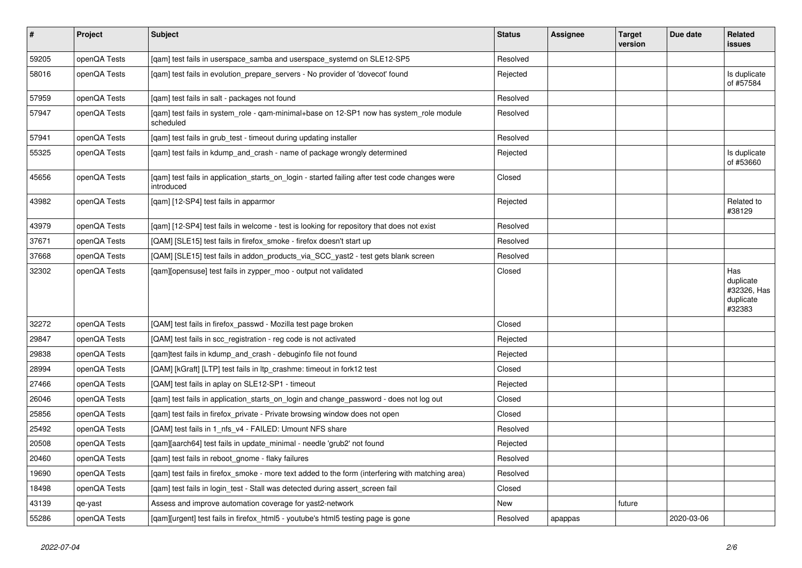| $\vert$ # | <b>Project</b> | <b>Subject</b>                                                                                               | <b>Status</b> | <b>Assignee</b> | <b>Target</b><br>version | Due date   | Related<br>issues                                      |
|-----------|----------------|--------------------------------------------------------------------------------------------------------------|---------------|-----------------|--------------------------|------------|--------------------------------------------------------|
| 59205     | openQA Tests   | [qam] test fails in userspace_samba and userspace_systemd on SLE12-SP5                                       | Resolved      |                 |                          |            |                                                        |
| 58016     | openQA Tests   | [qam] test fails in evolution_prepare_servers - No provider of 'dovecot' found                               | Rejected      |                 |                          |            | Is duplicate<br>of #57584                              |
| 57959     | openQA Tests   | [qam] test fails in salt - packages not found                                                                | Resolved      |                 |                          |            |                                                        |
| 57947     | openQA Tests   | [qam] test fails in system_role - qam-minimal+base on 12-SP1 now has system_role module<br>scheduled         | Resolved      |                 |                          |            |                                                        |
| 57941     | openQA Tests   | [gam] test fails in grub test - timeout during updating installer                                            | Resolved      |                 |                          |            |                                                        |
| 55325     | openQA Tests   | [gam] test fails in kdump and crash - name of package wrongly determined                                     | Rejected      |                 |                          |            | Is duplicate<br>of #53660                              |
| 45656     | openQA Tests   | [qam] test fails in application_starts_on_login - started failing after test code changes were<br>introduced | Closed        |                 |                          |            |                                                        |
| 43982     | openQA Tests   | [gam] [12-SP4] test fails in apparmor                                                                        | Rejected      |                 |                          |            | Related to<br>#38129                                   |
| 43979     | openQA Tests   | [qam] [12-SP4] test fails in welcome - test is looking for repository that does not exist                    | Resolved      |                 |                          |            |                                                        |
| 37671     | openQA Tests   | [QAM] [SLE15] test fails in firefox_smoke - firefox doesn't start up                                         | Resolved      |                 |                          |            |                                                        |
| 37668     | openQA Tests   | [QAM] [SLE15] test fails in addon_products_via_SCC_yast2 - test gets blank screen                            | Resolved      |                 |                          |            |                                                        |
| 32302     | openQA Tests   | [gam][opensuse] test fails in zypper moo - output not validated                                              | Closed        |                 |                          |            | Has<br>duplicate<br>#32326, Has<br>duplicate<br>#32383 |
| 32272     | openQA Tests   | [QAM] test fails in firefox passwd - Mozilla test page broken                                                | Closed        |                 |                          |            |                                                        |
| 29847     | openQA Tests   | [QAM] test fails in scc_registration - reg code is not activated                                             | Rejected      |                 |                          |            |                                                        |
| 29838     | openQA Tests   | [qam]test fails in kdump_and_crash - debuginfo file not found                                                | Rejected      |                 |                          |            |                                                        |
| 28994     | openQA Tests   | [QAM] [kGraft] [LTP] test fails in ltp crashme: timeout in fork12 test                                       | Closed        |                 |                          |            |                                                        |
| 27466     | openQA Tests   | [QAM] test fails in aplay on SLE12-SP1 - timeout                                                             | Rejected      |                 |                          |            |                                                        |
| 26046     | openQA Tests   | [gam] test fails in application starts on login and change password - does not log out                       | Closed        |                 |                          |            |                                                        |
| 25856     | openQA Tests   | [qam] test fails in firefox_private - Private browsing window does not open                                  | Closed        |                 |                          |            |                                                        |
| 25492     | openQA Tests   | [QAM] test fails in 1_nfs_v4 - FAILED: Umount NFS share                                                      | Resolved      |                 |                          |            |                                                        |
| 20508     | openQA Tests   | [qam][aarch64] test fails in update_minimal - needle 'grub2' not found                                       | Rejected      |                 |                          |            |                                                        |
| 20460     | openQA Tests   | [gam] test fails in reboot gnome - flaky failures                                                            | Resolved      |                 |                          |            |                                                        |
| 19690     | openQA Tests   | [gam] test fails in firefox smoke - more text added to the form (interfering with matching area)             | Resolved      |                 |                          |            |                                                        |
| 18498     | openQA Tests   | [gam] test fails in login test - Stall was detected during assert screen fail                                | Closed        |                 |                          |            |                                                        |
| 43139     | qe-yast        | Assess and improve automation coverage for yast2-network                                                     | <b>New</b>    |                 | future                   |            |                                                        |
| 55286     | openQA Tests   | [qam][urgent] test fails in firefox_html5 - youtube's html5 testing page is gone                             | Resolved      | apappas         |                          | 2020-03-06 |                                                        |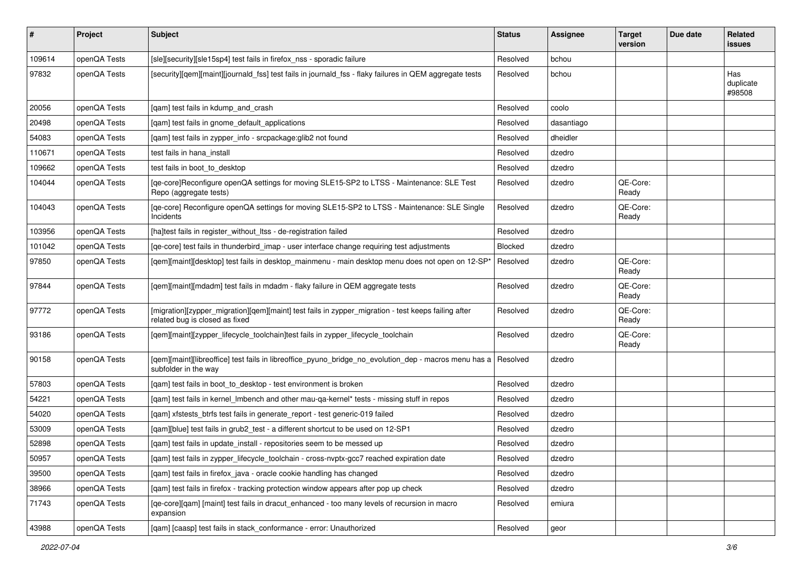| #      | Project      | Subject                                                                                                                               | <b>Status</b> | <b>Assignee</b> | <b>Target</b><br>version | Due date | <b>Related</b><br><b>issues</b> |
|--------|--------------|---------------------------------------------------------------------------------------------------------------------------------------|---------------|-----------------|--------------------------|----------|---------------------------------|
| 109614 | openQA Tests | [sle][security][sle15sp4] test fails in firefox_nss - sporadic failure                                                                | Resolved      | bchou           |                          |          |                                 |
| 97832  | openQA Tests | [security][qem][maint][journald_fss] test fails in journald_fss - flaky failures in QEM aggregate tests                               | Resolved      | bchou           |                          |          | Has<br>duplicate<br>#98508      |
| 20056  | openQA Tests | [gam] test fails in kdump and crash                                                                                                   | Resolved      | coolo           |                          |          |                                 |
| 20498  | openQA Tests | [qam] test fails in gnome_default_applications                                                                                        | Resolved      | dasantiago      |                          |          |                                 |
| 54083  | openQA Tests | [qam] test fails in zypper_info - srcpackage:glib2 not found                                                                          | Resolved      | dheidler        |                          |          |                                 |
| 110671 | openQA Tests | test fails in hana_install                                                                                                            | Resolved      | dzedro          |                          |          |                                 |
| 109662 | openQA Tests | test fails in boot to desktop                                                                                                         | Resolved      | dzedro          |                          |          |                                 |
| 104044 | openQA Tests | [qe-core]Reconfigure openQA settings for moving SLE15-SP2 to LTSS - Maintenance: SLE Test<br>Repo (aggregate tests)                   | Resolved      | dzedro          | QE-Core:<br>Ready        |          |                                 |
| 104043 | openQA Tests | [qe-core] Reconfigure openQA settings for moving SLE15-SP2 to LTSS - Maintenance: SLE Single<br><b>Incidents</b>                      | Resolved      | dzedro          | QE-Core:<br>Ready        |          |                                 |
| 103956 | openQA Tests | [ha]test fails in register without Itss - de-registration failed                                                                      | Resolved      | dzedro          |                          |          |                                 |
| 101042 | openQA Tests | [qe-core] test fails in thunderbird_imap - user interface change requiring test adjustments                                           | Blocked       | dzedro          |                          |          |                                 |
| 97850  | openQA Tests | [gem][maint][desktop] test fails in desktop_mainmenu - main desktop menu does not open on 12-SP'                                      | Resolved      | dzedro          | QE-Core:<br>Ready        |          |                                 |
| 97844  | openQA Tests | [gem][maint][mdadm] test fails in mdadm - flaky failure in QEM aggregate tests                                                        | Resolved      | dzedro          | QE-Core:<br>Ready        |          |                                 |
| 97772  | openQA Tests | [migration][zypper_migration][qem][maint] test fails in zypper_migration - test keeps failing after<br>related bug is closed as fixed | Resolved      | dzedro          | QE-Core:<br>Ready        |          |                                 |
| 93186  | openQA Tests | [qem][maint][zypper_lifecycle_toolchain]test fails in zypper_lifecycle_toolchain                                                      | Resolved      | dzedro          | QE-Core:<br>Ready        |          |                                 |
| 90158  | openQA Tests | [qem][maint][libreoffice] test fails in libreoffice_pyuno_bridge_no_evolution_dep - macros menu has a<br>subfolder in the way         | Resolved      | dzedro          |                          |          |                                 |
| 57803  | openQA Tests | [gam] test fails in boot to desktop - test environment is broken                                                                      | Resolved      | dzedro          |                          |          |                                 |
| 54221  | openQA Tests | [gam] test fails in kernel Imbench and other mau-ga-kernel* tests - missing stuff in repos                                            | Resolved      | dzedro          |                          |          |                                 |
| 54020  | openQA Tests | [qam] xfstests_btrfs test fails in generate_report - test generic-019 failed                                                          | Resolved      | dzedro          |                          |          |                                 |
| 53009  | openQA Tests | [gam][blue] test fails in grub2 test - a different shortcut to be used on 12-SP1                                                      | Resolved      | dzedro          |                          |          |                                 |
| 52898  | openQA Tests | [qam] test fails in update_install - repositories seem to be messed up                                                                | Resolved      | dzedro          |                          |          |                                 |
| 50957  | openQA Tests | [qam] test fails in zypper_lifecycle_toolchain - cross-nvptx-gcc7 reached expiration date                                             | Resolved      | dzedro          |                          |          |                                 |
| 39500  | openQA Tests | [qam] test fails in firefox_java - oracle cookie handling has changed                                                                 | Resolved      | dzedro          |                          |          |                                 |
| 38966  | openQA Tests | [qam] test fails in firefox - tracking protection window appears after pop up check                                                   | Resolved      | dzedro          |                          |          |                                 |
| 71743  | openQA Tests | [qe-core][qam] [maint] test fails in dracut_enhanced - too many levels of recursion in macro<br>expansion                             | Resolved      | emiura          |                          |          |                                 |
| 43988  | openQA Tests | [qam] [caasp] test fails in stack_conformance - error: Unauthorized                                                                   | Resolved      | geor            |                          |          |                                 |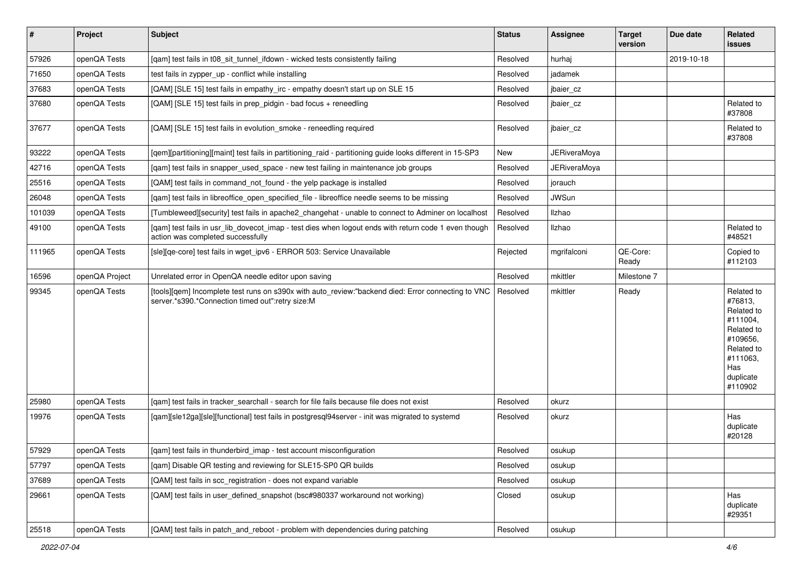| $\vert$ # | Project        | <b>Subject</b>                                                                                                                                         | <b>Status</b> | <b>Assignee</b>     | <b>Target</b><br>version | Due date   | Related<br><b>issues</b>                                                                                                           |
|-----------|----------------|--------------------------------------------------------------------------------------------------------------------------------------------------------|---------------|---------------------|--------------------------|------------|------------------------------------------------------------------------------------------------------------------------------------|
| 57926     | openQA Tests   | [qam] test fails in t08_sit_tunnel_ifdown - wicked tests consistently failing                                                                          | Resolved      | hurhaj              |                          | 2019-10-18 |                                                                                                                                    |
| 71650     | openQA Tests   | test fails in zypper_up - conflict while installing                                                                                                    | Resolved      | iadamek             |                          |            |                                                                                                                                    |
| 37683     | openQA Tests   | [QAM] [SLE 15] test fails in empathy_irc - empathy doesn't start up on SLE 15                                                                          | Resolved      | jbaier cz           |                          |            |                                                                                                                                    |
| 37680     | openQA Tests   | [QAM] [SLE 15] test fails in prep_pidgin - bad focus + reneedling                                                                                      | Resolved      | jbaier cz           |                          |            | Related to<br>#37808                                                                                                               |
| 37677     | openQA Tests   | [QAM] [SLE 15] test fails in evolution_smoke - reneedling required                                                                                     | Resolved      | jbaier cz           |                          |            | Related to<br>#37808                                                                                                               |
| 93222     | openQA Tests   | [qem][partitioning][maint] test fails in partitioning_raid - partitioning guide looks different in 15-SP3                                              | <b>New</b>    | <b>JERiveraMoya</b> |                          |            |                                                                                                                                    |
| 42716     | openQA Tests   | [gam] test fails in snapper_used_space - new test failing in maintenance job groups                                                                    | Resolved      | <b>JERiveraMoya</b> |                          |            |                                                                                                                                    |
| 25516     | openQA Tests   | [QAM] test fails in command_not_found - the yelp package is installed                                                                                  | Resolved      | jorauch             |                          |            |                                                                                                                                    |
| 26048     | openQA Tests   | [qam] test fails in libreoffice_open_specified_file - libreoffice needle seems to be missing                                                           | Resolved      | <b>JWSun</b>        |                          |            |                                                                                                                                    |
| 101039    | openQA Tests   | [Tumbleweed][security] test fails in apache2_changehat - unable to connect to Adminer on localhost                                                     | Resolved      | <b>Ilzhao</b>       |                          |            |                                                                                                                                    |
| 49100     | openQA Tests   | [gam] test fails in usr_lib_dovecot_imap - test dies when logout ends with return code 1 even though<br>action was completed successfully              | Resolved      | Ilzhao              |                          |            | Related to<br>#48521                                                                                                               |
| 111965    | openQA Tests   | [sle][qe-core] test fails in wget_ipv6 - ERROR 503: Service Unavailable                                                                                | Rejected      | mgrifalconi         | QE-Core:<br>Ready        |            | Copied to<br>#112103                                                                                                               |
| 16596     | openQA Project | Unrelated error in OpenQA needle editor upon saving                                                                                                    | Resolved      | mkittler            | Milestone 7              |            |                                                                                                                                    |
| 99345     | openQA Tests   | [tools][gem] Incomplete test runs on s390x with auto review:"backend died: Error connecting to VNC<br>server.*s390.*Connection timed out":retry size:M | Resolved      | mkittler            | Ready                    |            | Related to<br>#76813,<br>Related to<br>#111004,<br>Related to<br>#109656,<br>Related to<br>#111063,<br>Has<br>duplicate<br>#110902 |
| 25980     | openQA Tests   | [gam] test fails in tracker searchall - search for file fails because file does not exist                                                              | Resolved      | okurz               |                          |            |                                                                                                                                    |
| 19976     | openQA Tests   | [gam][sle12ga][sle][functional] test fails in postgresql94server - init was migrated to systemd                                                        | Resolved      | okurz               |                          |            | Has<br>duplicate<br>#20128                                                                                                         |
| 57929     | openQA Tests   | [gam] test fails in thunderbird imap - test account misconfiguration                                                                                   | Resolved      | osukup              |                          |            |                                                                                                                                    |
| 57797     | openQA Tests   | [qam] Disable QR testing and reviewing for SLE15-SP0 QR builds                                                                                         | Resolved      | osukup              |                          |            |                                                                                                                                    |
| 37689     | openQA Tests   | [QAM] test fails in scc registration - does not expand variable                                                                                        | Resolved      | osukup              |                          |            |                                                                                                                                    |
| 29661     | openQA Tests   | [QAM] test fails in user defined snapshot (bsc#980337 workaround not working)                                                                          | Closed        | osukup              |                          |            | Has<br>duplicate<br>#29351                                                                                                         |
| 25518     | openQA Tests   | [QAM] test fails in patch_and_reboot - problem with dependencies during patching                                                                       | Resolved      | osukup              |                          |            |                                                                                                                                    |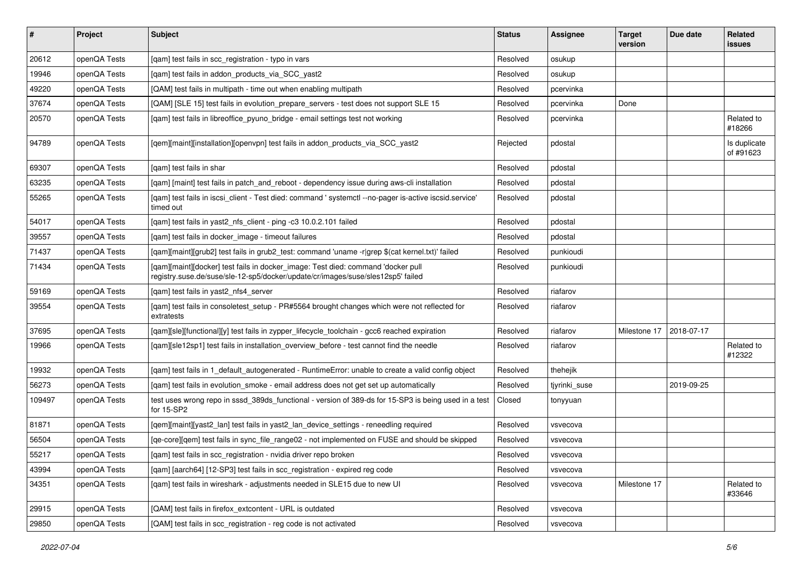| #      | Project      | Subject                                                                                                                                                             | <b>Status</b> | <b>Assignee</b> | <b>Target</b><br>version | Due date   | Related<br><b>issues</b>  |
|--------|--------------|---------------------------------------------------------------------------------------------------------------------------------------------------------------------|---------------|-----------------|--------------------------|------------|---------------------------|
| 20612  | openQA Tests | [qam] test fails in scc_registration - typo in vars                                                                                                                 | Resolved      | osukup          |                          |            |                           |
| 19946  | openQA Tests | [gam] test fails in addon products via SCC yast2                                                                                                                    | Resolved      | osukup          |                          |            |                           |
| 49220  | openQA Tests | [QAM] test fails in multipath - time out when enabling multipath                                                                                                    | Resolved      | pcervinka       |                          |            |                           |
| 37674  | openQA Tests | [QAM] [SLE 15] test fails in evolution_prepare_servers - test does not support SLE 15                                                                               | Resolved      | pcervinka       | Done                     |            |                           |
| 20570  | openQA Tests | [qam] test fails in libreoffice_pyuno_bridge - email settings test not working                                                                                      | Resolved      | pcervinka       |                          |            | Related to<br>#18266      |
| 94789  | openQA Tests | [qem][maint][installation][openvpn] test fails in addon_products_via_SCC_yast2                                                                                      | Rejected      | pdostal         |                          |            | Is duplicate<br>of #91623 |
| 69307  | openQA Tests | [gam] test fails in shar                                                                                                                                            | Resolved      | pdostal         |                          |            |                           |
| 63235  | openQA Tests | [gam] [maint] test fails in patch and reboot - dependency issue during aws-cli installation                                                                         | Resolved      | pdostal         |                          |            |                           |
| 55265  | openQA Tests | [gam] test fails in iscsi_client - Test died: command ' systemctl --no-pager is-active iscsid.service'<br>timed out                                                 | Resolved      | pdostal         |                          |            |                           |
| 54017  | openQA Tests | [gam] test fails in yast2 nfs client - ping -c3 10.0.2.101 failed                                                                                                   | Resolved      | pdostal         |                          |            |                           |
| 39557  | openQA Tests | [gam] test fails in docker image - timeout failures                                                                                                                 | Resolved      | pdostal         |                          |            |                           |
| 71437  | openQA Tests | [gam][maint][grub2] test fails in grub2_test: command 'uname -r grep \$(cat kernel.txt)' failed                                                                     | Resolved      | punkioudi       |                          |            |                           |
| 71434  | openQA Tests | [qam][maint][docker] test fails in docker_image: Test died: command 'docker pull<br>registry.suse.de/suse/sle-12-sp5/docker/update/cr/images/suse/sles12sp5' failed | Resolved      | punkioudi       |                          |            |                           |
| 59169  | openQA Tests | [qam] test fails in yast2_nfs4_server                                                                                                                               | Resolved      | riafarov        |                          |            |                           |
| 39554  | openQA Tests | [qam] test fails in consoletest_setup - PR#5564 brought changes which were not reflected for<br>extratests                                                          | Resolved      | riafarov        |                          |            |                           |
| 37695  | openQA Tests | [gam][sle][functional][y] test fails in zypper lifecycle toolchain - gcc6 reached expiration                                                                        | Resolved      | riafarov        | Milestone 17             | 2018-07-17 |                           |
| 19966  | openQA Tests | [gam][sle12sp1] test fails in installation overview before - test cannot find the needle                                                                            | Resolved      | riafarov        |                          |            | Related to<br>#12322      |
| 19932  | openQA Tests | [gam] test fails in 1_default_autogenerated - RuntimeError: unable to create a valid config object                                                                  | Resolved      | thehejik        |                          |            |                           |
| 56273  | openQA Tests | [gam] test fails in evolution smoke - email address does not get set up automatically                                                                               | Resolved      | tjyrinki_suse   |                          | 2019-09-25 |                           |
| 109497 | openQA Tests | test uses wrong repo in sssd_389ds_functional - version of 389-ds for 15-SP3 is being used in a test<br>for 15-SP2                                                  | Closed        | tonyyuan        |                          |            |                           |
| 81871  | openQA Tests | [qem][maint][yast2_lan] test fails in yast2_lan_device_settings - reneedling required                                                                               | Resolved      | vsvecova        |                          |            |                           |
| 56504  | openQA Tests | [qe-core][qem] test fails in sync_file_range02 - not implemented on FUSE and should be skipped                                                                      | Resolved      | vsvecova        |                          |            |                           |
| 55217  | openQA Tests | [qam] test fails in scc_registration - nvidia driver repo broken                                                                                                    | Resolved      | vsvecova        |                          |            |                           |
| 43994  | openQA Tests | [gam] [aarch64] [12-SP3] test fails in scc_registration - expired reg code                                                                                          | Resolved      | vsvecova        |                          |            |                           |
| 34351  | openQA Tests | [qam] test fails in wireshark - adjustments needed in SLE15 due to new UI                                                                                           | Resolved      | vsvecova        | Milestone 17             |            | Related to<br>#33646      |
| 29915  | openQA Tests | [QAM] test fails in firefox_extcontent - URL is outdated                                                                                                            | Resolved      | vsvecova        |                          |            |                           |
| 29850  | openQA Tests | [QAM] test fails in scc_registration - reg code is not activated                                                                                                    | Resolved      | vsvecova        |                          |            |                           |